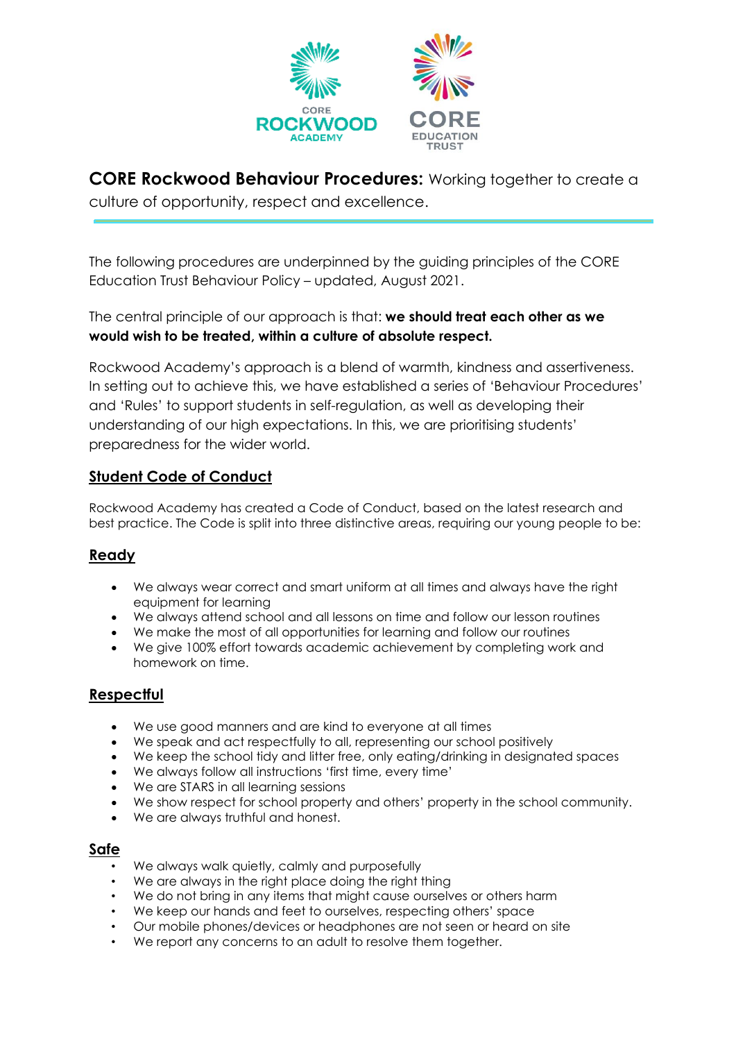

**CORE Rockwood Behaviour Procedures:** Working together to create a culture of opportunity, respect and excellence.

The following procedures are underpinned by the guiding principles of the CORE Education Trust Behaviour Policy – updated, August 2021.

The central principle of our approach is that: **we should treat each other as we would wish to be treated, within a culture of absolute respect.**

Rockwood Academy's approach is a blend of warmth, kindness and assertiveness. In setting out to achieve this, we have established a series of 'Behaviour Procedures' and 'Rules' to support students in self-regulation, as well as developing their understanding of our high expectations. In this, we are prioritising students' preparedness for the wider world.

### **Student Code of Conduct**

Rockwood Academy has created a Code of Conduct, based on the latest research and best practice. The Code is split into three distinctive areas, requiring our young people to be:

### **Ready**

- We always wear correct and smart uniform at all times and always have the right equipment for learning
- We always attend school and all lessons on time and follow our lesson routines
- We make the most of all opportunities for learning and follow our routines
- We give 100% effort towards academic achievement by completing work and homework on time.

### **Respectful**

- We use good manners and are kind to everyone at all times
- We speak and act respectfully to all, representing our school positively
- We keep the school tidy and litter free, only eating/drinking in designated spaces
- We always follow all instructions 'first time, every time'
- We are STARS in all learning sessions
- We show respect for school property and others' property in the school community.
- We are always truthful and honest.

#### **Safe**

- We always walk quietly, calmly and purposefully
- We are always in the right place doing the right thing
- We do not bring in any items that might cause ourselves or others harm
- We keep our hands and feet to ourselves, respecting others' space
- Our mobile phones/devices or headphones are not seen or heard on site
- We report any concerns to an adult to resolve them together.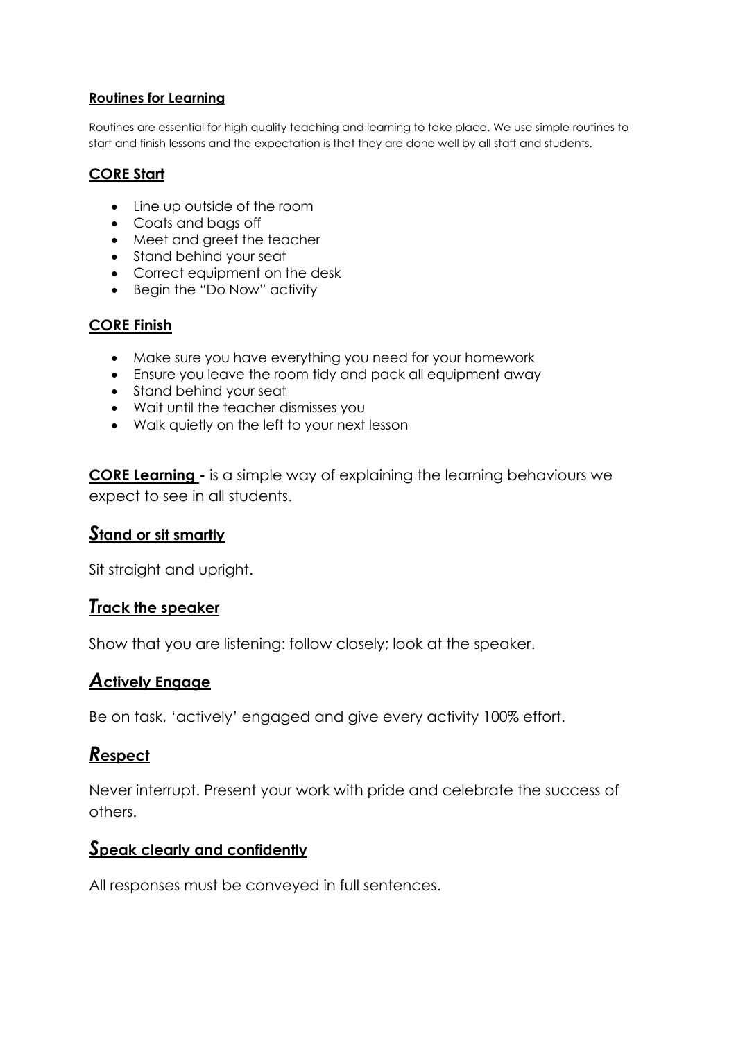#### **Routines for Learning**

Routines are essential for high quality teaching and learning to take place. We use simple routines to start and finish lessons and the expectation is that they are done well by all staff and students.

### **CORE Start**

- Line up outside of the room
- Coats and bags off
- Meet and greet the teacher
- Stand behind your seat
- Correct equipment on the desk
- Begin the "Do Now" activity

### **CORE Finish**

- Make sure you have everything you need for your homework
- Ensure you leave the room tidy and pack all equipment away
- Stand behind your seat
- Wait until the teacher dismisses you
- Walk quietly on the left to your next lesson

**CORE Learning -** is a simple way of explaining the learning behaviours we expect to see in all students.

# *S***tand or sit smartly**

Sit straight and upright.

# *T***rack the speaker**

Show that you are listening: follow closely; look at the speaker.

# *A***ctively Engage**

Be on task, 'actively' engaged and give every activity 100% effort.

# *R***espect**

Never interrupt. Present your work with pride and celebrate the success of others.

# *S***peak clearly and confidently**

All responses must be conveyed in full sentences.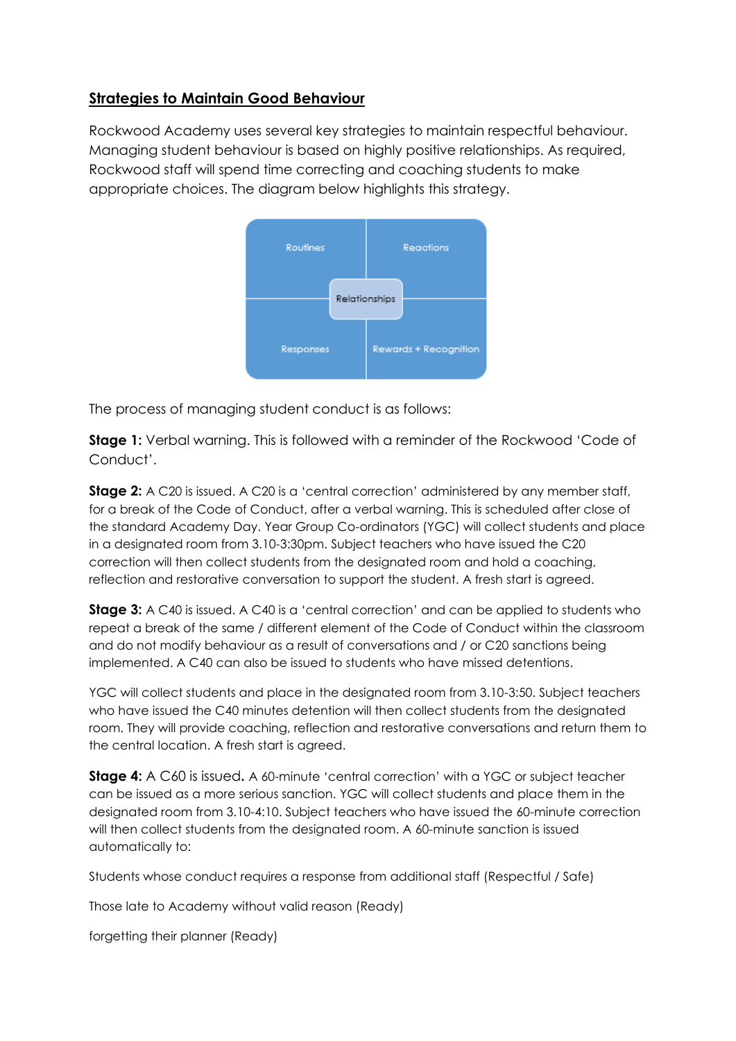### **Strategies to Maintain Good Behaviour**

Rockwood Academy uses several key strategies to maintain respectful behaviour. Managing student behaviour is based on highly positive relationships. As required, Rockwood staff will spend time correcting and coaching students to make appropriate choices. The diagram below highlights this strategy.



The process of managing student conduct is as follows:

**Stage 1:** Verbal warning. This is followed with a reminder of the Rockwood 'Code of Conduct'.

**Stage 2:** A C20 is issued. A C20 is a 'central correction' administered by any member staff, for a break of the Code of Conduct, after a verbal warning. This is scheduled after close of the standard Academy Day. Year Group Co-ordinators (YGC) will collect students and place in a designated room from 3.10-3:30pm. Subject teachers who have issued the C20 correction will then collect students from the designated room and hold a coaching, reflection and restorative conversation to support the student. A fresh start is agreed.

**Stage 3:** A C40 is issued. A C40 is a 'central correction' and can be applied to students who repeat a break of the same / different element of the Code of Conduct within the classroom and do not modify behaviour as a result of conversations and / or C20 sanctions being implemented. A C40 can also be issued to students who have missed detentions.

YGC will collect students and place in the designated room from 3.10-3:50. Subject teachers who have issued the C40 minutes detention will then collect students from the designated room. They will provide coaching, reflection and restorative conversations and return them to the central location. A fresh start is agreed.

**Stage 4:** A C60 is issued**.** A 60-minute 'central correction' with a YGC or subject teacher can be issued as a more serious sanction. YGC will collect students and place them in the designated room from 3.10-4:10. Subject teachers who have issued the 60-minute correction will then collect students from the designated room. A 60-minute sanction is issued automatically to:

Students whose conduct requires a response from additional staff (Respectful / Safe)

Those late to Academy without valid reason (Ready)

forgetting their planner (Ready)